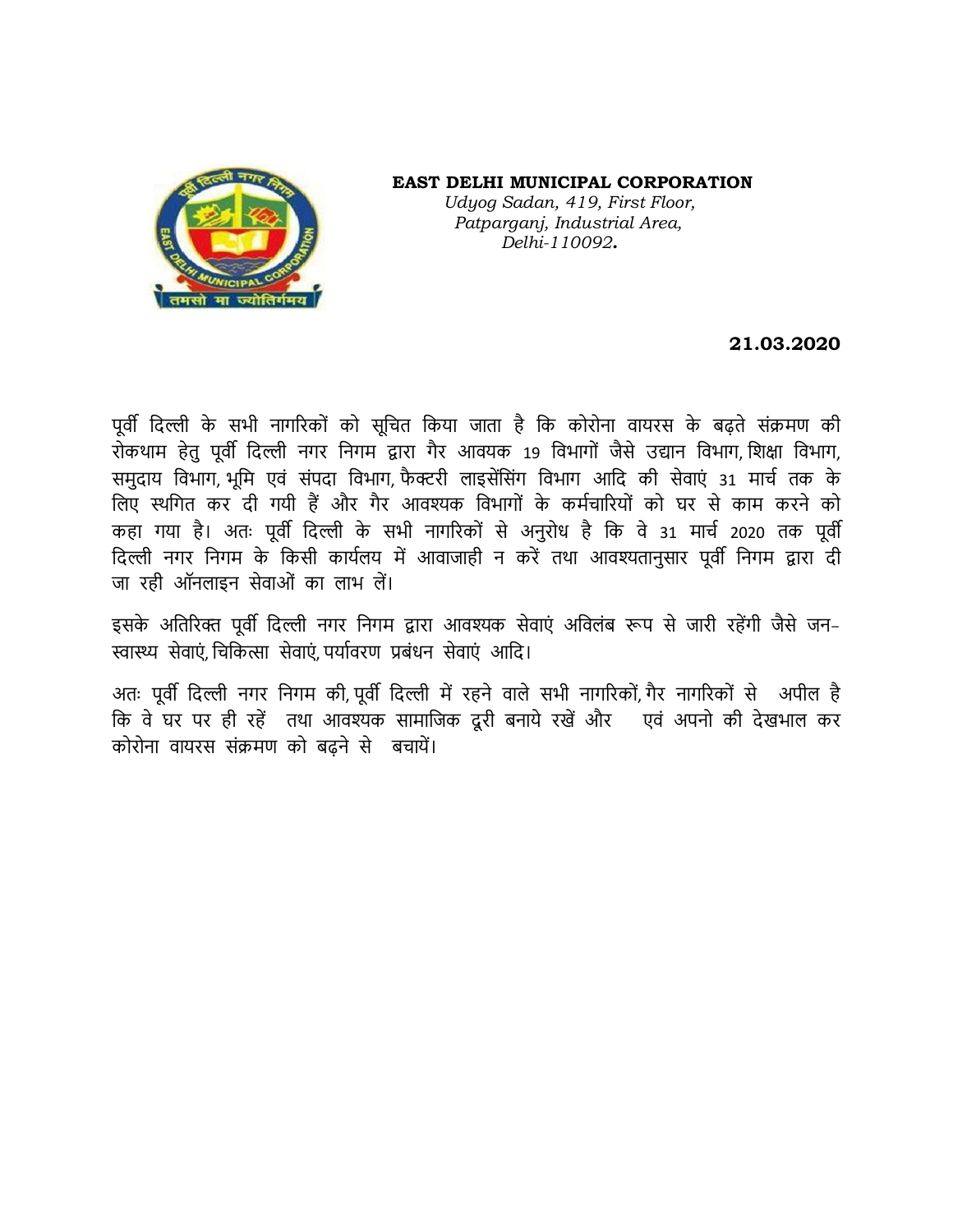

 **EAST DELHI MUNICIPAL CORPORATION**  *Udyog Sadan, 419, First Floor, Patparganj, Industrial Area, Delhi-110092.*

## **21.03.2020**

पूर्वी दिल्ली के सभी नागरिकों को सूचित किया जाता है कि कोरोना वायरस के बढ़ते संक्रमण की रोकथाम हेतु पूर्वी दिल्ली नगर निगम द्वारा गैर आवयक 19 विभागों जैसे उद्यान विभाग, शिक्षा विभाग, समुदाय विभाग, भूमि एवं संपदा विभाग, फैक्टरी लाइसेंसिंग विभाग आदि की सेवाएं 31 मार्च तक के लिए स्थगित कर दी गयी हैं और गैर आवश्यक विभागों के कर्मचारियों को घर से काम करने को कहा गया है। अतः पूर्वी दिल्ली के सभी नागरिकों से अनुरोध है कि वे 31 मार्च 2020 तक पूर्वी दिल्ली नगर निगम के किसी कार्यलय में आवाजाही न करें तथा आवश्यतानुसार पूर्वी निगम द्वारा दी जा रही ऑनलाइन सेवाओं का लाभ लें।

इसके अतिरिक्त पूर्वी दिल्ली नगर निगम द्वारा आवश्यक सेवाएं अविलंब रूप से जारी रहेंगी जैसे जन-स्वास्थ्य सेवाएं चिकित्सा सेवाएं पर्यावरण प्रबंधन सेवाएं आदि।

अतः पूर्वी दिल्ली नगर निगम की, पूर्वी दिल्ली में रहने वाले सभी नागरिकों, गैर नागरिकों से अपील है कि वे घर पर ही रहें तथा आवश्यक सामाजिक दूरी बनाये रखें और पवं अपनो की देखभाल कर कोरोना वायरस संक्रमण को बढ़ने से बचायें।